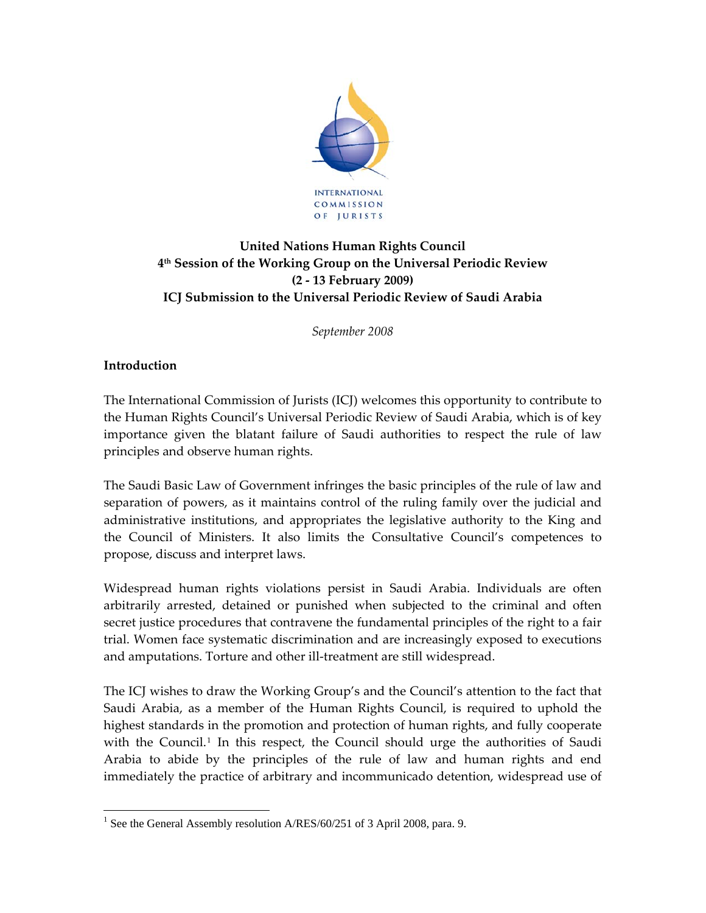

# **United Nations Human Rights Council 4th Session of the Working Group on the Universal Periodic Review (2 ‐ 13 February 2009) ICJ Submission to the Universal Periodic Review of Saudi Arabia**

*September 2008*

### **Introduction**

 $\overline{a}$ 

The International Commission of Jurists (ICJ) welcomes this opportunity to contribute to the Human Rights Council's Universal Periodic Review of Saudi Arabia, which is of key importance given the blatant failure of Saudi authorities to respect the rule of law principles and observe human rights.

The Saudi Basic Law of Government infringes the basic principles of the rule of law and separation of powers, as it maintains control of the ruling family over the judicial and administrative institutions, and appropriates the legislative authority to the King and the Council of Ministers. It also limits the Consultative Council's competences to propose, discuss and interpret laws.

Widespread human rights violations persist in Saudi Arabia. Individuals are often arbitrarily arrested, detained or punished when subjected to the criminal and often secret justice procedures that contravene the fundamental principles of the right to a fair trial. Women face systematic discrimination and are increasingly exposed to executions and amputations. Torture and other ill-treatment are still widespread.

The ICJ wishes to draw the Working Group's and the Council's attention to the fact that Saudi Arabia, as a member of the Human Rights Council, is required to uphold the highest standards in the promotion and protection of human rights, and fully cooperate with the Council.<sup>[1](#page-0-0)</sup> In this respect, the Council should urge the authorities of Saudi Arabia to abide by the principles of the rule of law and human rights and end immediately the practice of arbitrary and incommunicado detention, widespread use of

<span id="page-0-0"></span><sup>&</sup>lt;sup>1</sup> See the General Assembly resolution A/RES/60/251 of 3 April 2008, para. 9.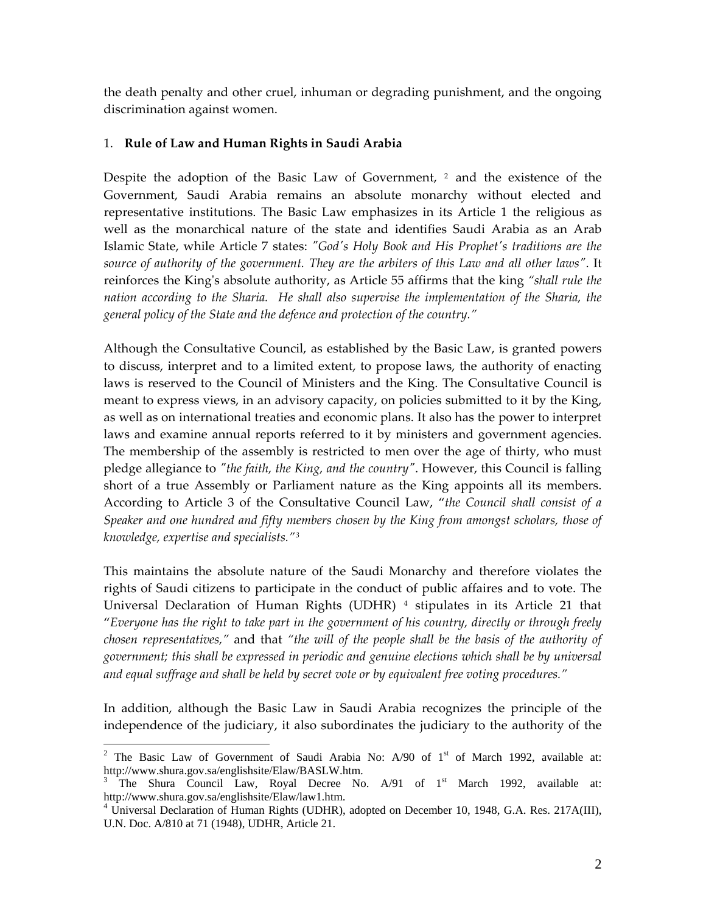the death penalty and other cruel, inhuman or degrading punishment, and the ongoing discrimination against women.

#### 1. **Rule of Law and Human Rights in Saudi Arabia**

Despite the adoption of the Basic Law of Government, <sup>[2](#page-1-0)</sup> and the existence of the Government, Saudi Arabia remains an absolute monarchy without elected and representative institutions. The Basic Law emphasizes in its Article 1 the religious as well as the monarchical nature of the state and identifies Saudi Arabia as an Arab Islamic State, while Article 7 states: *ʺGodʹs Holy Book and His Prophetʹs traditions are the source of authority of the government. They are the arbiters of this Law and all other lawsʺ*. It reinforces the Kingʹs absolute authority, as Article 55 affirms that the king *"shall rule the nation according to the Sharia. He shall also supervise the implementation of the Sharia, the general policy of the State and the defence and protection of the country."*

Although the Consultative Council, as established by the Basic Law, is granted powers to discuss, interpret and to a limited extent, to propose laws, the authority of enacting laws is reserved to the Council of Ministers and the King. The Consultative Council is meant to express views, in an advisory capacity, on policies submitted to it by the King, as well as on international treaties and economic plans. It also has the power to interpret laws and examine annual reports referred to it by ministers and government agencies. The membership of the assembly is restricted to men over the age of thirty, who must pledge allegiance to *ʺthe faith, the King, and the countryʺ*. However, this Council is falling short of a true Assembly or Parliament nature as the King appoints all its members. According to Article 3 of the Consultative Council Law, "*the Council shall consist of a Speaker and one hundred and fifty members chosen by the King from amongst scholars, those of knowledge, expertise and specialists."[3](#page-1-1)*

This maintains the absolute nature of the Saudi Monarchy and therefore violates the rights of Saudi citizens to participate in the conduct of public affaires and to vote. The Universal Declaration of Human Rights (UDHR) [4](#page-1-2) stipulates in its Article 21 that "*Everyone has the right to take part in the government of his country, directly or through freely chosen representatives,"* and that *"the will of the people shall be the basis of the authority of government; this shall be expressed in periodic and genuine elections which shall be by universal and equal suffrage and shall be held by secret vote or by equivalent free voting procedures."* 

In addition, although the Basic Law in Saudi Arabia recognizes the principle of the independence of the judiciary, it also subordinates the judiciary to the authority of the

<span id="page-1-0"></span><sup>&</sup>lt;sup>2</sup> The Basic Law of Government of Saudi Arabia No: A/90 of  $1<sup>st</sup>$  of March 1992, available at: http://www.shura.gov.sa/englishsite/Elaw/BASLW.htm. 3

<span id="page-1-1"></span><sup>&</sup>lt;sup>3</sup> The Shura Council Law, Royal Decree No.  $A/91$  of  $1<sup>st</sup>$  March 1992, available at: http://www.shura.gov.sa/englishsite/Elaw/law1.htm.

<span id="page-1-2"></span><sup>&</sup>lt;sup>4</sup> Universal Declaration of Human Rights (UDHR), adopted on December 10, 1948, G.A. Res. 217A(III), U.N. Doc. A/810 at 71 (1948), UDHR, Article 21.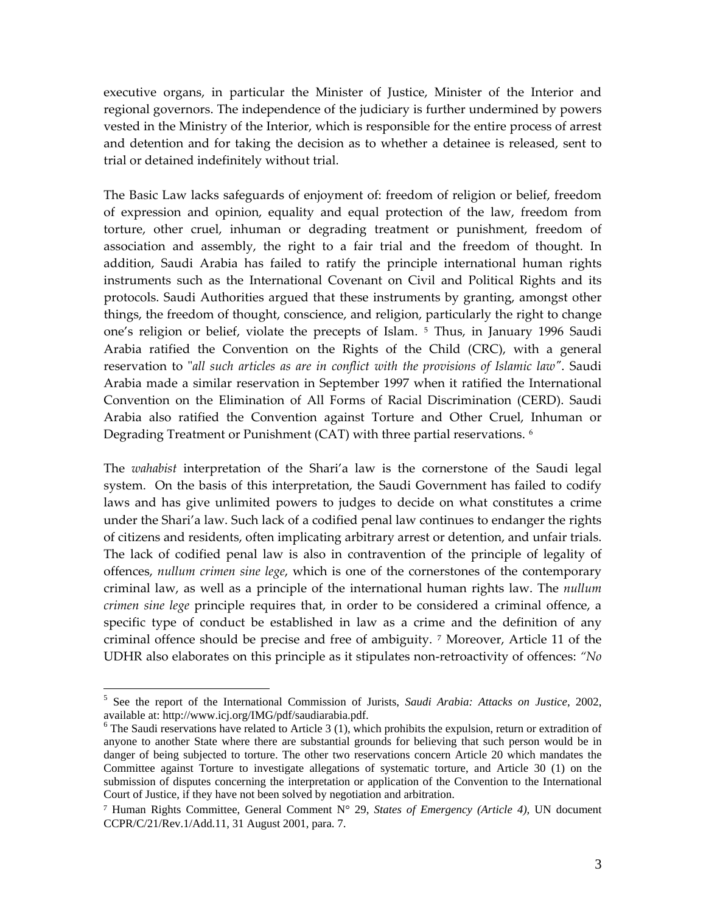executive organs, in particular the Minister of Justice, Minister of the Interior and regional governors. The independence of the judiciary is further undermined by powers vested in the Ministry of the Interior, which is responsible for the entire process of arrest and detention and for taking the decision as to whether a detainee is released, sent to trial or detained indefinitely without trial.

The Basic Law lacks safeguards of enjoyment of: freedom of religion or belief, freedom of expression and opinion, equality and equal protection of the law, freedom from torture, other cruel, inhuman or degrading treatment or punishment, freedom of association and assembly, the right to a fair trial and the freedom of thought. In addition, Saudi Arabia has failed to ratify the principle international human rights instruments such as the International Covenant on Civil and Political Rights and its protocols. Saudi Authorities argued that these instruments by granting, amongst other things, the freedom of thought, conscience, and religion, particularly the right to change one's religion or belief, violate the precepts of Islam.<sup>[5](#page-2-0)</sup> Thus, in January 1996 Saudi Arabia ratified the Convention on the Rights of the Child (CRC), with a general reservation to ʺ*all such articles as are in conflict with the provisions of Islamic lawʺ*. Saudi Arabia made a similar reservation in September 1997 when it ratified the International Convention on the Elimination of All Forms of Racial Discrimination (CERD). Saudi Arabia also ratified the Convention against Torture and Other Cruel, Inhuman or Degrading Treatment or Punishment (CAT) with three partial reservations. [6](#page-2-1)

The *wahabist* interpretation of the Shari'a law is the cornerstone of the Saudi legal system. On the basis of this interpretation, the Saudi Government has failed to codify laws and has give unlimited powers to judges to decide on what constitutes a crime under the Shari'a law. Such lack of a codified penal law continues to endanger the rights of citizens and residents, often implicating arbitrary arrest or detention, and unfair trials. The lack of codified penal law is also in contravention of the principle of legality of offences, *nullum crimen sine lege*, which is one of the cornerstones of the contemporary criminal law, as well as a principle of the international human rights law. The *nullum crimen sine lege* principle requires that, in order to be considered a criminal offence, a specific type of conduct be established in law as a crime and the definition of any criminal offence should be precise and free of ambiguity. [7](#page-2-2) Moreover, Article 11 of the UDHR also elaborates on this principle as it stipulates non‐retroactivity of offences: *"No*

<span id="page-2-0"></span><sup>5</sup> See the report of the International Commission of Jurists, *Saudi Arabia: Attacks on Justice*, 2002, available at: http://www.icj.org/IMG/pdf/saudiarabia.pdf.

<span id="page-2-1"></span> $6$  The Saudi reservations have related to Article 3 (1), which prohibits the expulsion, return or extradition of anyone to another State where there are substantial grounds for believing that such person would be in danger of being subjected to torture. The other two reservations concern Article 20 which mandates the Committee against Torture to investigate allegations of systematic torture, and Article 30 (1) on the submission of disputes concerning the interpretation or application of the Convention to the International Court of Justice, if they have not been solved by negotiation and arbitration.

<span id="page-2-2"></span><sup>7</sup> Human Rights Committee, General Comment N° 29, *States of Emergency (Article 4),* UN document CCPR/C/21/Rev.1/Add.11, 31 August 2001, para. 7.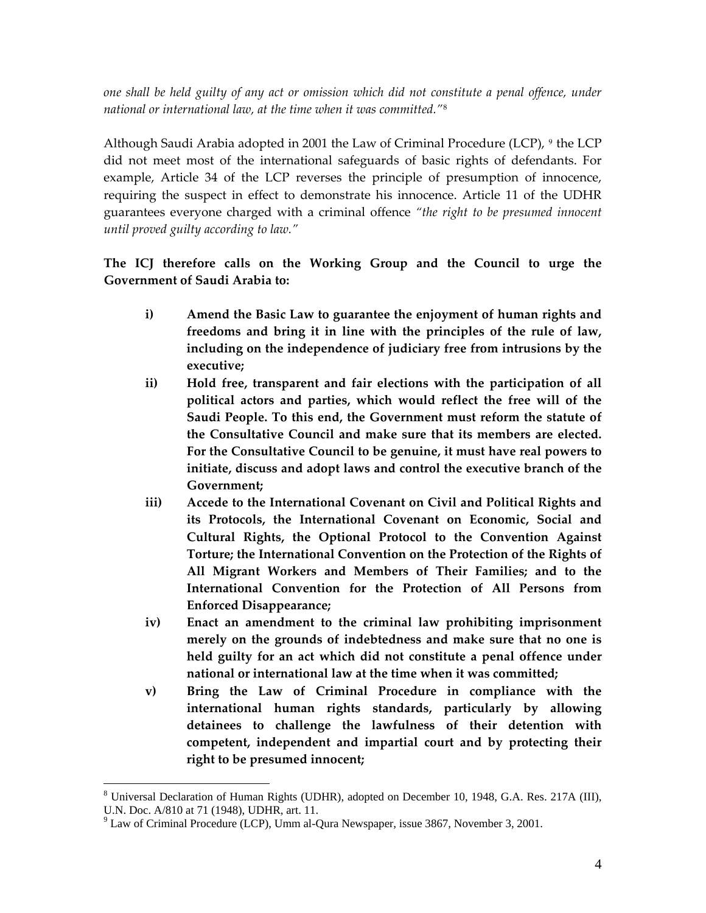*one shall be held guilty of any act or omission which did not constitute a penal offence, under national or international law, at the time when it was committed."*[8](#page-3-0)

Although Saudi Arabia adopted in 2001 the Law of Criminal Procedure (LCP),  $9$  the LCP did not meet most of the international safeguards of basic rights of defendants. For example, Article 34 of the LCP reverses the principle of presumption of innocence, requiring the suspect in effect to demonstrate his innocence. Article 11 of the UDHR guarantees everyone charged with a criminal offence *"the right to be presumed innocent until proved guilty according to law."*

## **The ICJ therefore calls on the Working Group and the Council to urge the Government of Saudi Arabia to:**

- **i) Amend the Basic Law to guarantee the enjoyment of human rights and freedoms and bring it in line with the principles of the rule of law, including on the independence of judiciary free from intrusions by the executive;**
- **ii) Hold free, transparent and fair elections with the participation of all political actors and parties, which would reflect the free will of the Saudi People. To this end, the Government must reform the statute of the Consultative Council and make sure that its members are elected. For the Consultative Council to be genuine, it must have real powers to initiate, discuss and adopt laws and control the executive branch of the Government;**
- **iii) Accede to the International Covenant on Civil and Political Rights and its Protocols, the International Covenant on Economic, Social and Cultural Rights, the Optional Protocol to the Convention Against Torture; the International Convention on the Protection of the Rights of All Migrant Workers and Members of Their Families; and to the International Convention for the Protection of All Persons from Enforced Disappearance;**
- **iv) Enact an amendment to the criminal law prohibiting imprisonment merely on the grounds of indebtedness and make sure that no one is held guilty for an act which did not constitute a penal offence under national or international law at the time when it was committed;**
- **v) Bring the Law of Criminal Procedure in compliance with the international human rights standards, particularly by allowing detainees to challenge the lawfulness of their detention with competent, independent and impartial court and by protecting their right to be presumed innocent;**

<span id="page-3-0"></span> $\overline{a}$  $8$  Universal Declaration of Human Rights (UDHR), adopted on December 10, 1948, G.A. Res. 217A (III), U.N. Doc. A/810 at 71 (1948), UDHR, art. 11.

<span id="page-3-1"></span> $9^9$  Law of Criminal Procedure (LCP), Umm al-Qura Newspaper, issue 3867, November 3, 2001.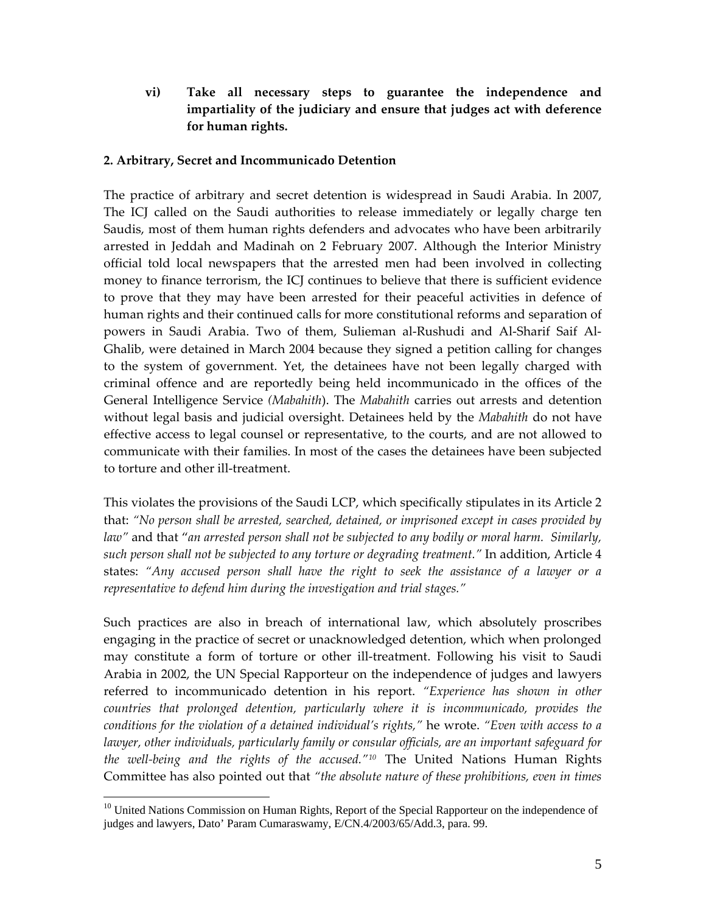**vi) Take all necessary steps to guarantee the independence and impartiality of the judiciary and ensure that judges act with deference for human rights.**

#### **2. Arbitrary, Secret and Incommunicado Detention**

The practice of arbitrary and secret detention is widespread in Saudi Arabia. In 2007, The ICJ called on the Saudi authorities to release immediately or legally charge ten Saudis, most of them human rights defenders and advocates who have been arbitrarily arrested in Jeddah and Madinah on 2 February 2007. Although the Interior Ministry official told local newspapers that the arrested men had been involved in collecting money to finance terrorism, the ICJ continues to believe that there is sufficient evidence to prove that they may have been arrested for their peaceful activities in defence of human rights and their continued calls for more constitutional reforms and separation of powers in Saudi Arabia. Two of them, Sulieman al‐Rushudi and Al‐Sharif Saif Al‐ Ghalib, were detained in March 2004 because they signed a petition calling for changes to the system of government. Yet, the detainees have not been legally charged with criminal offence and are reportedly being held incommunicado in the offices of the General Intelligence Service *(Mabahith*). The *Mabahith* carries out arrests and detention without legal basis and judicial oversight. Detainees held by the *Mabahith* do not have effective access to legal counsel or representative, to the courts, and are not allowed to communicate with their families. In most of the cases the detainees have been subjected to torture and other ill‐treatment.

This violates the provisions of the Saudi LCP, which specifically stipulates in its Article 2 that: *"No person shall be arrested, searched, detained, or imprisoned except in cases provided by law"* and that "*an arrested person shall not be subjected to any bodily or moral harm. Similarly, such person shall not be subjected to any torture or degrading treatment."* In addition, Article 4 states: *"Any accused person shall have the right to seek the assistance of a lawyer or a representative to defend him during the investigation and trial stages."*

Such practices are also in breach of international law, which absolutely proscribes engaging in the practice of secret or unacknowledged detention, which when prolonged may constitute a form of torture or other ill‐treatment. Following his visit to Saudi Arabia in 2002, the UN Special Rapporteur on the independence of judges and lawyers referred to incommunicado detention in his report. *"Experience has shown in other countries that prolonged detention, particularly where it is incommunicado, provides the conditions for the violation of a detained individual's rights,"* he wrote. *"Even with access to a lawyer, other individuals, particularly family or consular officials, are an important safeguard for the well‐being and the rights of the accused."[10](#page-4-0)* The United Nations Human Rights Committee has also pointed out that *"the absolute nature of these prohibitions, even in times*

<span id="page-4-0"></span><sup>&</sup>lt;sup>10</sup> United Nations Commission on Human Rights, Report of the Special Rapporteur on the independence of judges and lawyers, Dato' Param Cumaraswamy, E/CN.4/2003/65/Add.3, para. 99.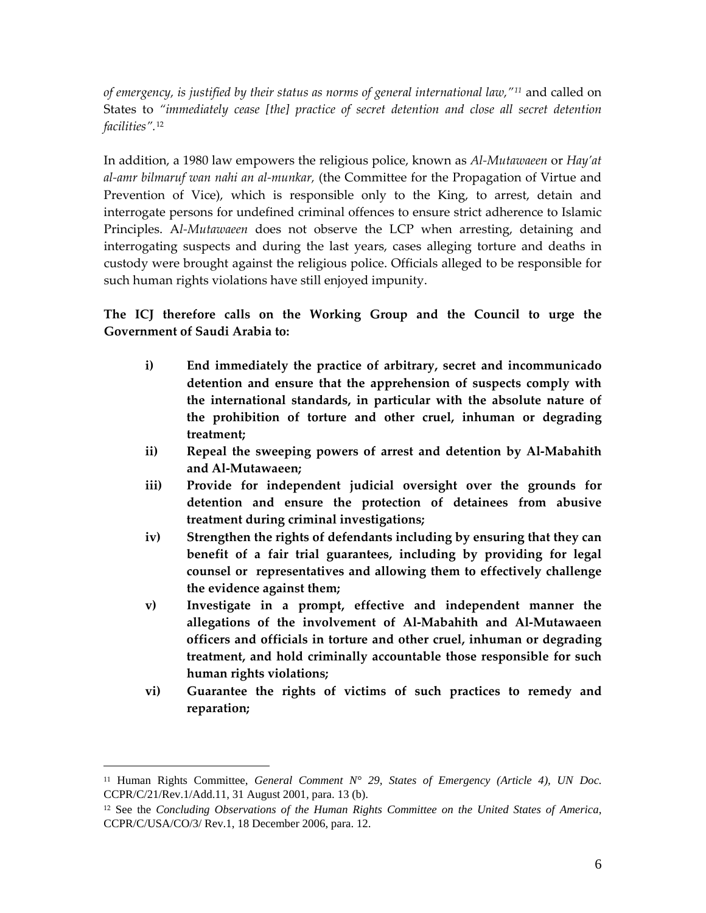*of emergency, is justified by their status as norms of general international law,"[11](#page-5-0)* and called on States to *"immediately cease [the] practice of secret detention and close all secret detention facilities".*[12](#page-5-1)

In addition, a 1980 law empowers the religious police, known as *Al‐Mutawaeen* or *Hay'at al‐amr bilmaruf wan nahi an al‐munkar,* (the Committee for the Propagation of Virtue and Prevention of Vice), which is responsible only to the King, to arrest, detain and interrogate persons for undefined criminal offences to ensure strict adherence to Islamic Principles. A*l‐Mutawaeen* does not observe the LCP when arresting, detaining and interrogating suspects and during the last years, cases alleging torture and deaths in custody were brought against the religious police. Officials alleged to be responsible for such human rights violations have still enjoyed impunity.

**The ICJ therefore calls on the Working Group and the Council to urge the Government of Saudi Arabia to:**

- **i) End immediately the practice of arbitrary, secret and incommunicado detention and ensure that the apprehension of suspects comply with the international standards, in particular with the absolute nature of the prohibition of torture and other cruel, inhuman or degrading treatment;**
- **ii) Repeal the sweeping powers of arrest and detention by Al‐Mabahith and Al‐Mutawaeen;**
- **iii) Provide for independent judicial oversight over the grounds for detention and ensure the protection of detainees from abusive treatment during criminal investigations;**
- **iv) Strengthen the rights of defendants including by ensuring that they can benefit of a fair trial guarantees, including by providing for legal counsel or representatives and allowing them to effectively challenge the evidence against them;**
- **v) Investigate in a prompt, effective and independent manner the allegations of the involvement of Al‐Mabahith and Al‐Mutawaeen officers and officials in torture and other cruel, inhuman or degrading treatment, and hold criminally accountable those responsible for such human rights violations;**
- **vi) Guarantee the rights of victims of such practices to remedy and reparation;**

<span id="page-5-0"></span><sup>&</sup>lt;sup>11</sup> Human Rights Committee, *General Comment N° 29*, *States of Emergency (Article 4), UN Doc.* CCPR/C/21/Rev.1/Add.11, 31 August 2001*,* para. 13 (b).

<span id="page-5-1"></span><sup>12</sup> See the *Concluding Observations of the Human Rights Committee on the United States of America*, CCPR/C/USA/CO/3/ Rev.1, 18 December 2006, para. 12.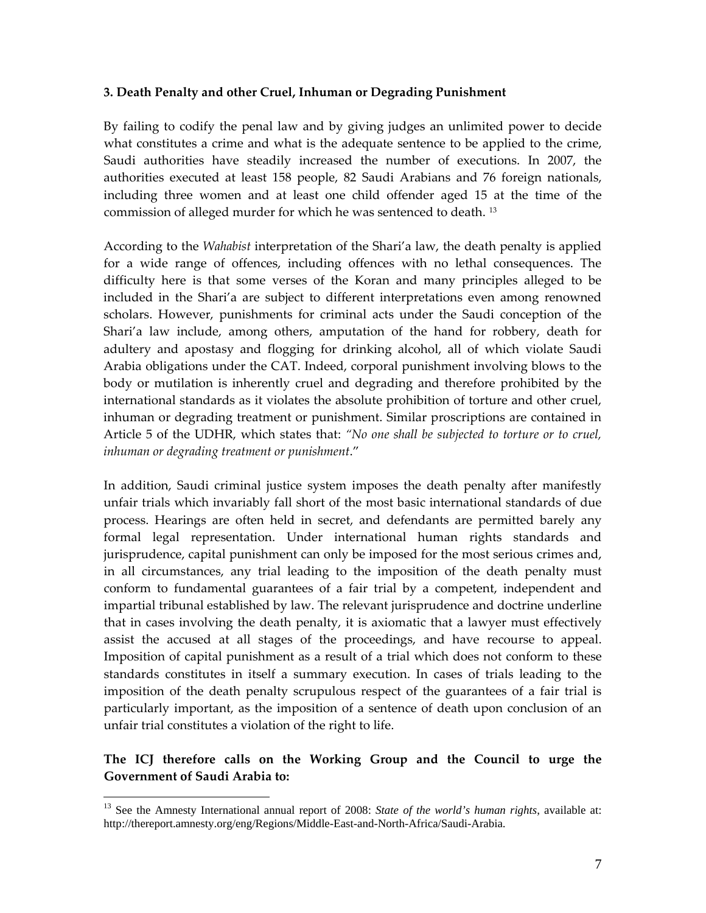#### **3. Death Penalty and other Cruel, Inhuman or Degrading Punishment**

By failing to codify the penal law and by giving judges an unlimited power to decide what constitutes a crime and what is the adequate sentence to be applied to the crime, Saudi authorities have steadily increased the number of executions. In 2007, the authorities executed at least 158 people, 82 Saudi Arabians and 76 foreign nationals, including three women and at least one child offender aged 15 at the time of the commission of alleged murder for which he was sentenced to death. [13](#page-6-0)

According to the *Wahabist* interpretation of the Shari'a law, the death penalty is applied for a wide range of offences, including offences with no lethal consequences. The difficulty here is that some verses of the Koran and many principles alleged to be included in the Shari'a are subject to different interpretations even among renowned scholars. However, punishments for criminal acts under the Saudi conception of the Shari'a law include, among others, amputation of the hand for robbery, death for adultery and apostasy and flogging for drinking alcohol, all of which violate Saudi Arabia obligations under the CAT. Indeed, corporal punishment involving blows to the body or mutilation is inherently cruel and degrading and therefore prohibited by the international standards as it violates the absolute prohibition of torture and other cruel, inhuman or degrading treatment or punishment. Similar proscriptions are contained in Article 5 of the UDHR, which states that: *"No one shall be subjected to torture or to cruel, inhuman or degrading treatment or punishment*."

In addition, Saudi criminal justice system imposes the death penalty after manifestly unfair trials which invariably fall short of the most basic international standards of due process. Hearings are often held in secret, and defendants are permitted barely any formal legal representation. Under international human rights standards and jurisprudence, capital punishment can only be imposed for the most serious crimes and, in all circumstances, any trial leading to the imposition of the death penalty must conform to fundamental guarantees of a fair trial by a competent, independent and impartial tribunal established by law. The relevant jurisprudence and doctrine underline that in cases involving the death penalty, it is axiomatic that a lawyer must effectively assist the accused at all stages of the proceedings, and have recourse to appeal. Imposition of capital punishment as a result of a trial which does not conform to these standards constitutes in itself a summary execution. In cases of trials leading to the imposition of the death penalty scrupulous respect of the guarantees of a fair trial is particularly important, as the imposition of a sentence of death upon conclusion of an unfair trial constitutes a violation of the right to life.

### **The ICJ therefore calls on the Working Group and the Council to urge the Government of Saudi Arabia to:**

<span id="page-6-0"></span><sup>&</sup>lt;sup>13</sup> See the Amnesty International annual report of 2008: *State of the world's human rights*, available at: http://thereport.amnesty.org/eng/Regions/Middle-East-and-North-Africa/Saudi-Arabia.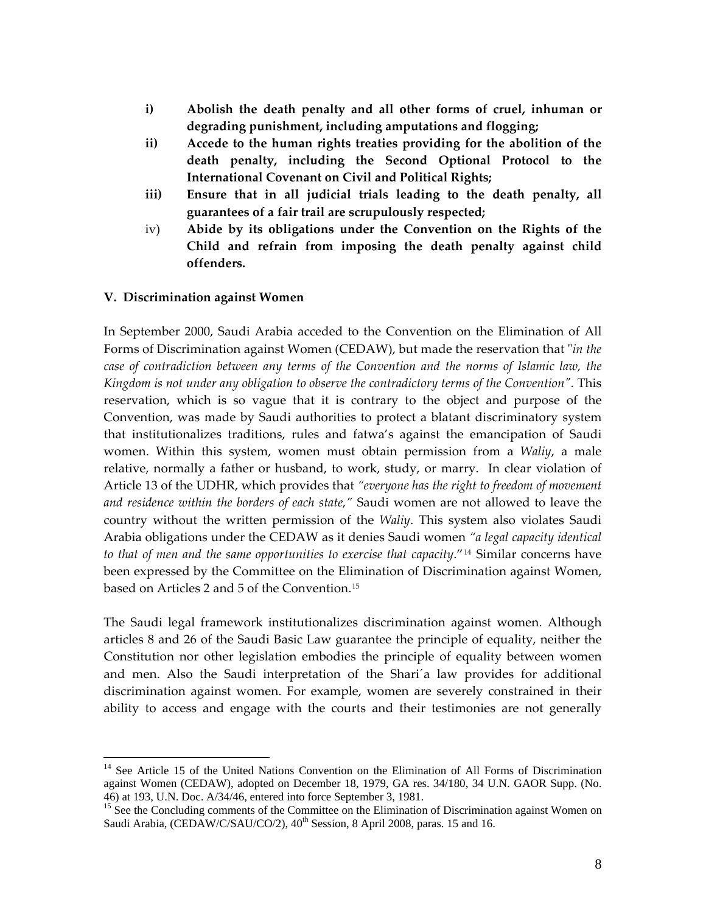- **i) Abolish the death penalty and all other forms of cruel, inhuman or degrading punishment, including amputations and flogging;**
- **ii) Accede to the human rights treaties providing for the abolition of the death penalty, including the Second Optional Protocol to the International Covenant on Civil and Political Rights;**
- **iii) Ensure that in all judicial trials leading to the death penalty, all guarantees of a fair trail are scrupulously respected;**
- iv) **Abide by its obligations under the Convention on the Rights of the Child and refrain from imposing the death penalty against child offenders.**

#### **V. Discrimination against Women**

 $\overline{a}$ 

In September 2000, Saudi Arabia acceded to the Convention on the Elimination of All Forms of Discrimination against Women (CEDAW), but made the reservation that "*in the case of contradiction between any terms of the Convention and the norms of Islamic law, the Kingdom is not under any obligation to observe the contradictory terms of the Conventionʺ.* This reservation, which is so vague that it is contrary to the object and purpose of the Convention, was made by Saudi authorities to protect a blatant discriminatory system that institutionalizes traditions, rules and fatwa's against the emancipation of Saudi women. Within this system, women must obtain permission from a *Waliy*, a male relative, normally a father or husband, to work, study, or marry. In clear violation of Article 13 of the UDHR, which provides that *"everyone has the right to freedom of movement and residence within the borders of each state,"* Saudi women are not allowed to leave the country without the written permission of the *Waliy*. This system also violates Saudi Arabia obligations under the CEDAW as it denies Saudi women *"a legal capacity identical to that of men and the same opportunities to exercise that capacity*."[14](#page-7-0) Similar concerns have been expressed by the Committee on the Elimination of Discrimination against Women, based on Articles 2 and 5 of the Convention.[15](#page-7-1)

The Saudi legal framework institutionalizes discrimination against women. Although articles 8 and 26 of the Saudi Basic Law guarantee the principle of equality, neither the Constitution nor other legislation embodies the principle of equality between women and men. Also the Saudi interpretation of the Shari´a law provides for additional discrimination against women. For example, women are severely constrained in their ability to access and engage with the courts and their testimonies are not generally

<span id="page-7-0"></span><sup>&</sup>lt;sup>14</sup> See Article 15 of the United Nations Convention on the Elimination of All Forms of Discrimination against Women (CEDAW), adopted on December 18, 1979, GA res. 34/180, 34 U.N. GAOR Supp. (No. 46) at 193, U.N. Doc. A/34/46, entered into force September 3, 1981.

<span id="page-7-1"></span><sup>&</sup>lt;sup>15</sup> See the Concluding comments of the Committee on the Elimination of Discrimination against Women on Saudi Arabia, (CEDAW/C/SAU/CO/2),  $40^{\text{th}}$  Session, 8 April 2008, paras. 15 and 16.